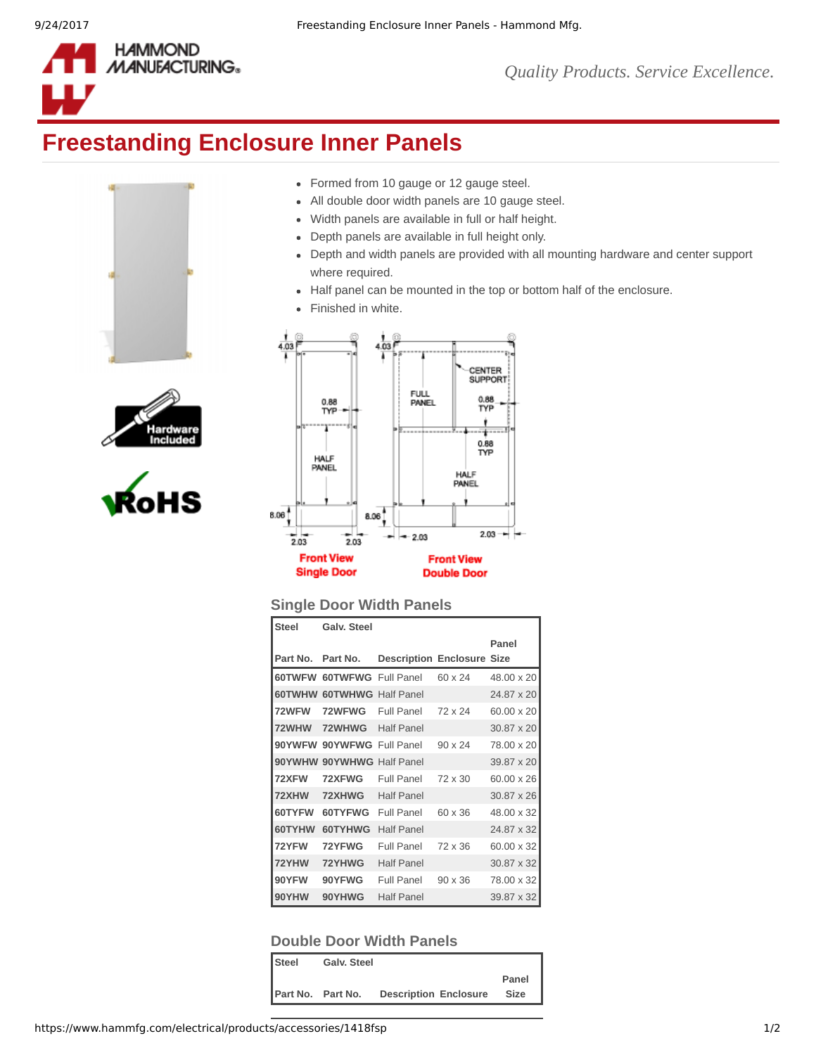

## **Freestanding Enclosure Inner Panels**







- Formed from 10 gauge or 12 gauge steel.
- All double door width panels are 10 gauge steel.
- Width panels are available in full or half height.
- Depth panels are available in full height only.
- Depth and width panels are provided with all mounting hardware and center support  $\bullet$ where required.
- Half panel can be mounted in the top or bottom half of the enclosure.
- Finished in white.  $\bullet$



## **Single Door Width Panels**

| <b>Steel</b> | <b>Galv. Steel</b>        |                                   |                |                   |
|--------------|---------------------------|-----------------------------------|----------------|-------------------|
|              |                           |                                   |                | Panel             |
| Part No.     | Part No.                  | <b>Description Enclosure Size</b> |                |                   |
| 60TWFW       | <b>60TWFWG Full Panel</b> |                                   | 60 x 24        | 48.00 x 20        |
| 60TWHW       | <b>60TWHWG Half Panel</b> |                                   |                | 24.87 x 20        |
| 72WFW        | 72WFWG                    | Full Panel                        | 72 x 24        | 60.00 x 20        |
| 72WHW        | 72WHWG                    | <b>Half Panel</b>                 |                | 30.87 x 20        |
| 90YWFW       | 90YWFWG Full Panel        |                                   | $90 \times 24$ | 78.00 x 20        |
|              | 90YWHW 90YWHWG Half Panel |                                   |                | 39.87 x 20        |
| 72XFW        | 72XFWG                    | Full Panel                        | $72 \times 30$ | $60.00 \times 26$ |
| 72XHW        | 72XHWG                    | <b>Half Panel</b>                 |                | 30.87 x 26        |
| 60TYFW       | 60TYFWG                   | Full Panel                        | 60 x 36        | 48.00 x 32        |
| 60TYHW       | 60TYHWG                   | <b>Half Panel</b>                 |                | 24.87 x 32        |
| 72YFW        | 72YFWG                    | Full Panel                        | 72 x 36        | 60.00 x 32        |
| 72YHW        | 72YHWG                    | <b>Half Panel</b>                 |                | 30.87 x 32        |
| 90YFW        | 90YFWG                    | Full Panel                        | $90 \times 36$ | 78.00 x 32        |
| 90YHW        | 90YHWG                    | <b>Half Panel</b>                 |                | 39.87 x 32        |

## **Double Door Width Panels**

| <b>Steel</b> | Galv. Steel              |                              |       |
|--------------|--------------------------|------------------------------|-------|
|              |                          |                              | Panel |
|              | <b>Part No. Part No.</b> | <b>Description Enclosure</b> | Size  |